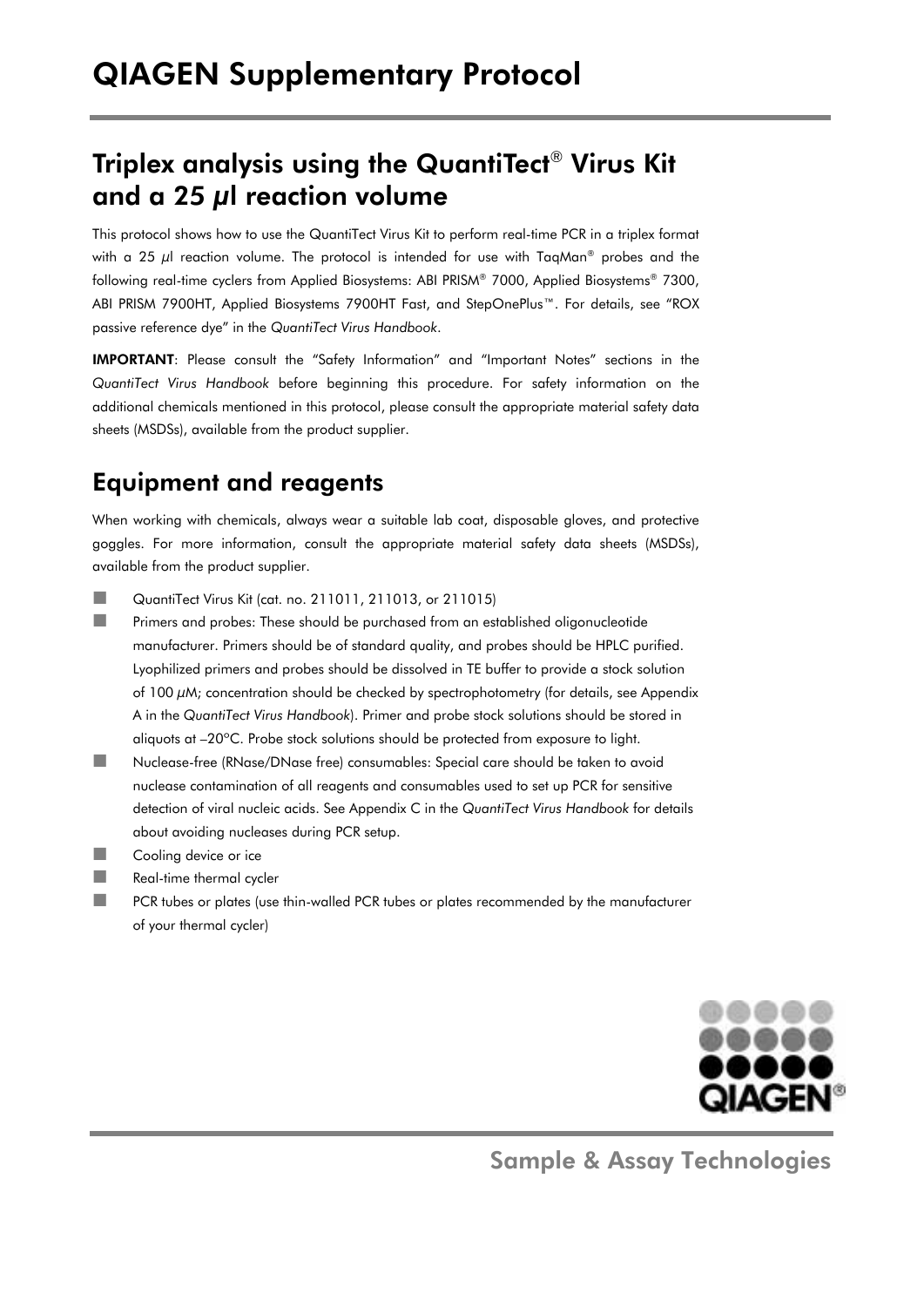# Triplex analysis using the QuantiTect® Virus Kit and a 25 μl reaction volume

This protocol shows how to use the QuantiTect Virus Kit to perform real-time PCR in a triplex format with a 25  $\mu$  reaction volume. The protocol is intended for use with TagMan<sup>®</sup> probes and the following real-time cyclers from Applied Biosystems: ABI PRISM® 7000, Applied Biosystems® 7300, ABI PRISM 7900HT, Applied Biosystems 7900HT Fast, and StepOnePlus™. For details, see "ROX passive reference dye" in the *QuantiTect Virus Handbook*.

IMPORTANT: Please consult the "Safety Information" and "Important Notes" sections in the *QuantiTect Virus Handbook* before beginning this procedure. For safety information on the additional chemicals mentioned in this protocol, please consult the appropriate material safety data sheets (MSDSs), available from the product supplier.

## Equipment and reagents

When working with chemicals, always wear a suitable lab coat, disposable gloves, and protective goggles. For more information, consult the appropriate material safety data sheets (MSDSs), available from the product supplier.

- **QuantiTect Virus Kit (cat. no. 211011, 211013, or 211015)**
- **Primers and probes: These should be purchased from an established oligonucleotide** manufacturer. Primers should be of standard quality, and probes should be HPLC purified. Lyophilized primers and probes should be dissolved in TE buffer to provide a stock solution of 100  $\mu$ M; concentration should be checked by spectrophotometry (for details, see Appendix A in the *QuantiTect Virus Handbook*). Primer and probe stock solutions should be stored in aliquots at –20ºC. Probe stock solutions should be protected from exposure to light.
- Nuclease-free (RNase/DNase free) consumables: Special care should be taken to avoid nuclease contamination of all reagents and consumables used to set up PCR for sensitive detection of viral nucleic acids. See Appendix C in the *QuantiTect Virus Handbook* for details about avoiding nucleases during PCR setup.
- **Cooling device or ice**
- Real-time thermal cycler
- **PCR** tubes or plates (use thin-walled PCR tubes or plates recommended by the manufacturer of your thermal cycler)



Sample & Assay Technologies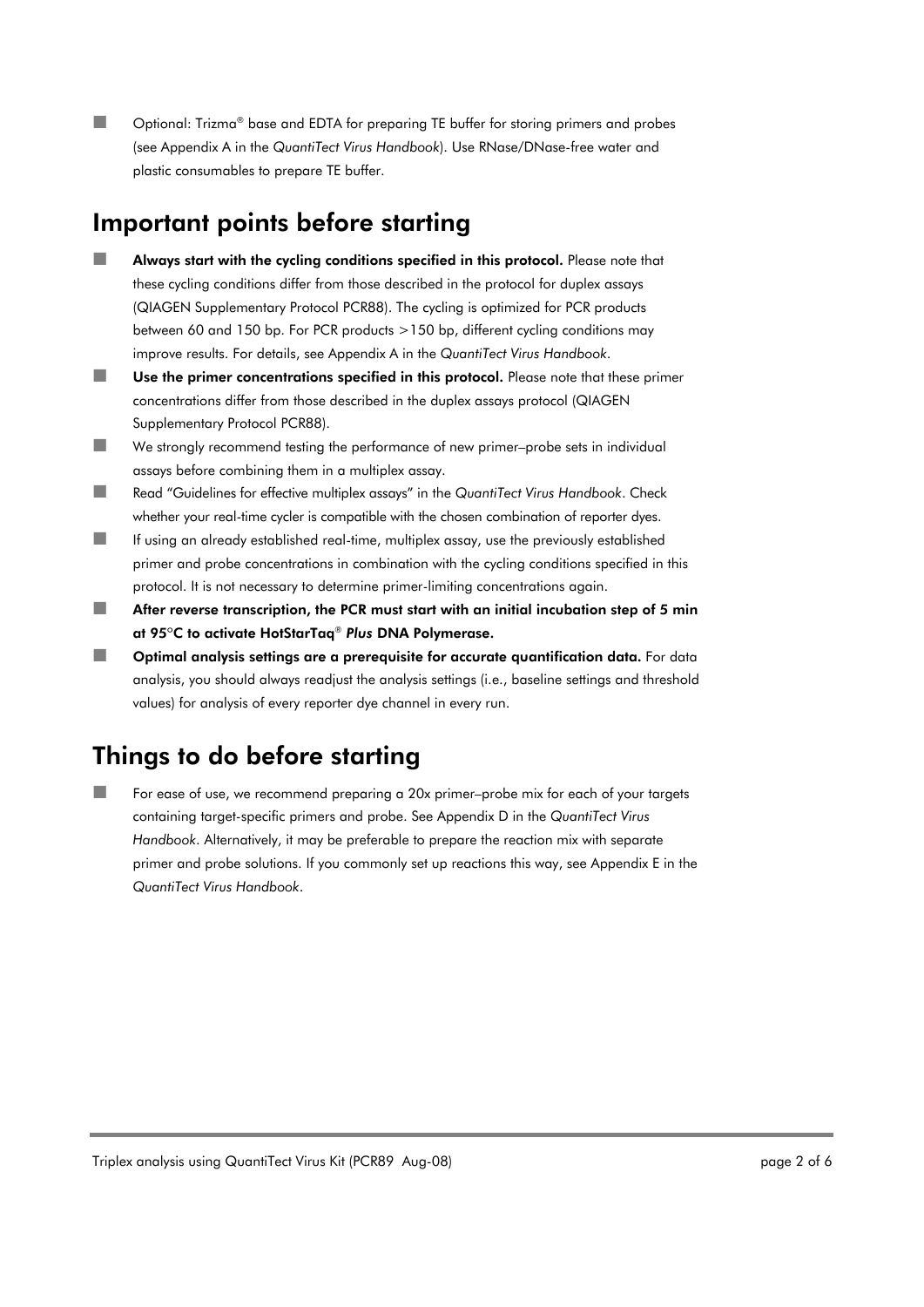■■ Optional: Trizma® base and EDTA for preparing TE buffer for storing primers and probes (see Appendix A in the *QuantiTect Virus Handbook*). Use RNase/DNase-free water and plastic consumables to prepare TE buffer.

### Important points before starting

- **Always start with the cycling conditions specified in this protocol.** Please note that these cycling conditions differ from those described in the protocol for duplex assays (QIAGEN Supplementary Protocol PCR88). The cycling is optimized for PCR products between 60 and 150 bp. For PCR products >150 bp, different cycling conditions may improve results. For details, see Appendix A in the *QuantiTect Virus Handbook*.
- Use the primer concentrations specified in this protocol. Please note that these primer concentrations differ from those described in the duplex assays protocol (QIAGEN Supplementary Protocol PCR88).
- We strongly recommend testing the performance of new primer–probe sets in individual assays before combining them in a multiplex assay.
- Read "Guidelines for effective multiplex assays" in the *QuantiTect Virus Handbook*. Check whether your real-time cycler is compatible with the chosen combination of reporter dyes.
- **If using an already established real-time, multiplex assay, use the previously established** primer and probe concentrations in combination with the cycling conditions specified in this protocol. It is not necessary to determine primer-limiting concentrations again.
- $\blacksquare$  After reverse transcription, the PCR must start with an initial incubation step of 5 min at 95ºC to activate HotStarTaq® *Plus* DNA Polymerase.
- $\Box$  Optimal analysis settings are a prerequisite for accurate quantification data. For data analysis, you should always readjust the analysis settings (i.e., baseline settings and threshold values) for analysis of every reporter dye channel in every run.

# Things to do before starting

 For ease of use, we recommend preparing a 20x primer–probe mix for each of your targets containing target-specific primers and probe. See Appendix D in the *QuantiTect Virus Handbook*. Alternatively, it may be preferable to prepare the reaction mix with separate primer and probe solutions. If you commonly set up reactions this way, see Appendix E in the *QuantiTect Virus Handbook*.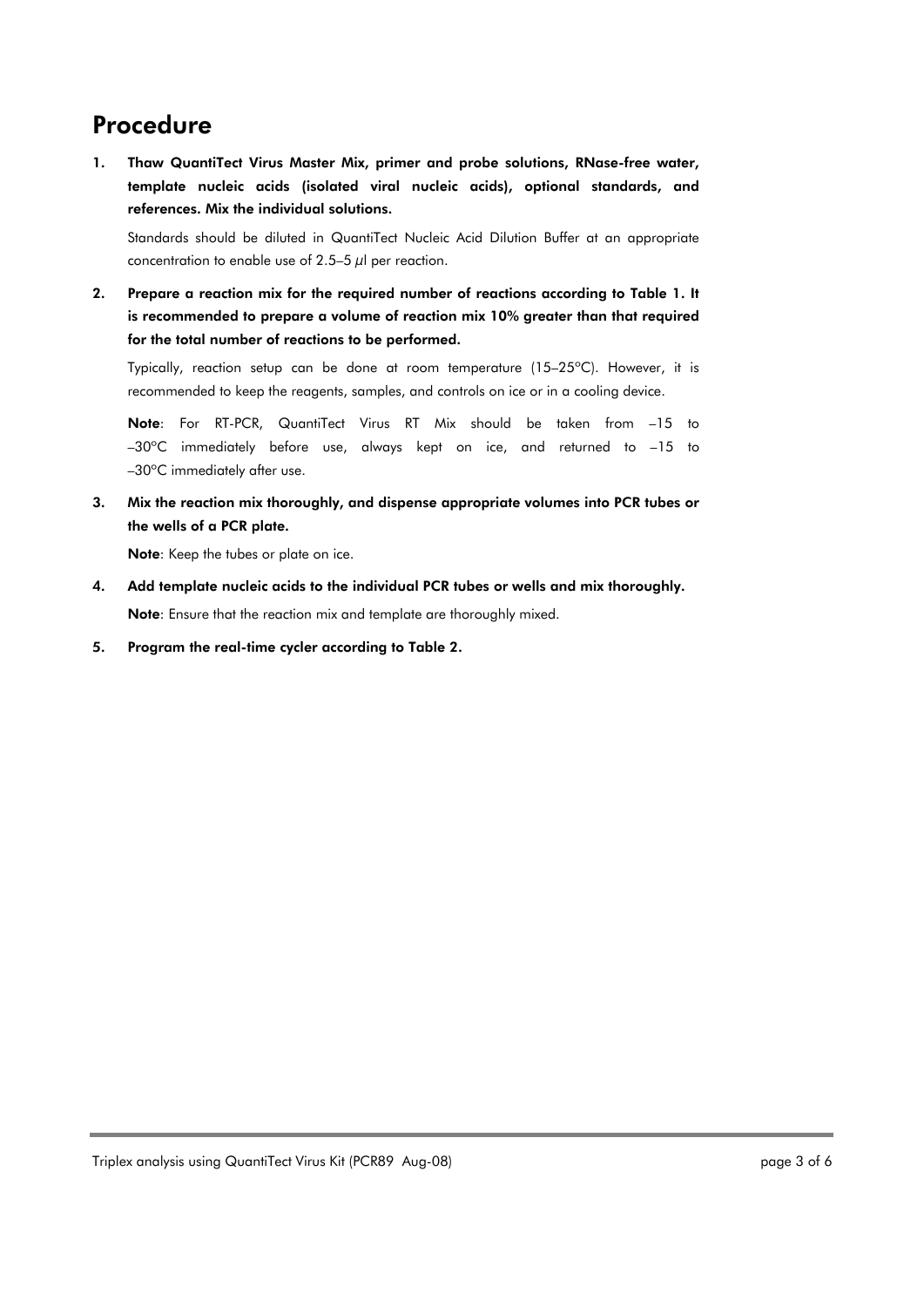## Procedure

1. Thaw QuantiTect Virus Master Mix, primer and probe solutions, RNase-free water, template nucleic acids (isolated viral nucleic acids), optional standards, and references. Mix the individual solutions.

Standards should be diluted in QuantiTect Nucleic Acid Dilution Buffer at an appropriate concentration to enable use of 2.5–5  $\mu$ l per reaction.

2. Prepare a reaction mix for the required number of reactions according to Table 1. It is recommended to prepare a volume of reaction mix 10% greater than that required for the total number of reactions to be performed.

Typically, reaction setup can be done at room temperature (15–25ºC). However, it is recommended to keep the reagents, samples, and controls on ice or in a cooling device.

Note: For RT-PCR, QuantiTect Virus RT Mix should be taken from –15 to –30ºC immediately before use, always kept on ice, and returned to –15 to –30ºC immediately after use.

3. Mix the reaction mix thoroughly, and dispense appropriate volumes into PCR tubes or the wells of a PCR plate.

Note: Keep the tubes or plate on ice.

- 4. Add template nucleic acids to the individual PCR tubes or wells and mix thoroughly. Note: Ensure that the reaction mix and template are thoroughly mixed.
- 5. Program the real-time cycler according to Table 2.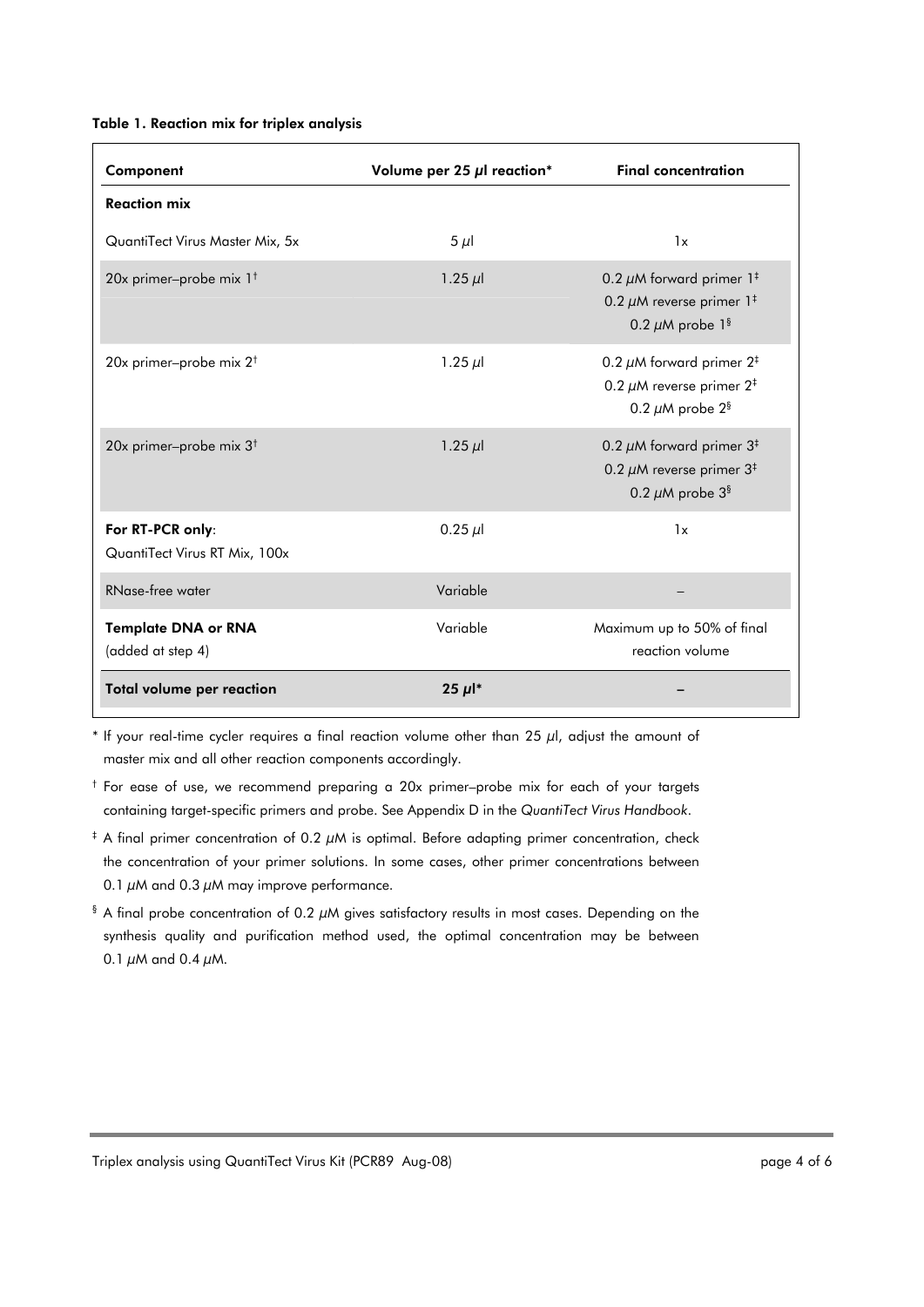#### Table 1. Reaction mix for triplex analysis

| Component                                         | Volume per 25 $\mu$ l reaction* | <b>Final concentration</b>                                                                                                    |
|---------------------------------------------------|---------------------------------|-------------------------------------------------------------------------------------------------------------------------------|
| <b>Reaction mix</b>                               |                                 |                                                                                                                               |
| QuantiTect Virus Master Mix, 5x                   | $5 \mu$                         | 1x                                                                                                                            |
| 20x primer-probe mix 1 <sup>t</sup>               | 1.25 $\mu$                      | 0.2 $\mu$ M forward primer 1 <sup>‡</sup><br>0.2 $\mu$ M reverse primer 1 <sup>#</sup><br>0.2 $\mu$ M probe 1 <sup>§</sup>    |
| 20x primer-probe mix 2 <sup>t</sup>               | 1.25 $\mu$                      | 0.2 $\mu$ M forward primer 2 <sup>‡</sup><br>0.2 $\mu$ M reverse primer 2 <sup>‡</sup><br>0.2 $\mu$ M probe 2 <sup>§</sup>    |
| 20x primer-probe mix $3^{\dagger}$                | $1.25 \mu$                      | 0.2 $\mu$ M forward primer 3 <sup>‡</sup><br>0.2 $\mu$ M reverse primer 3 <sup>‡</sup><br>0.2 $\mu$ M probe $3^{\frac{6}{3}}$ |
| For RT-PCR only:<br>QuantiTect Virus RT Mix, 100x | $0.25 \mu$                      | 1x                                                                                                                            |
| <b>RNase-free water</b>                           | Variable                        |                                                                                                                               |
| <b>Template DNA or RNA</b><br>(added at step 4)   | Variable                        | Maximum up to 50% of final<br>reaction volume                                                                                 |
| Total volume per reaction                         | $25 \mu$ <sup>*</sup>           |                                                                                                                               |

 $*$  If your real-time cycler requires a final reaction volume other than 25  $\mu$ l, adjust the amount of master mix and all other reaction components accordingly.

† For ease of use, we recommend preparing a 20x primer–probe mix for each of your targets containing target-specific primers and probe. See Appendix D in the *QuantiTect Virus Handbook*.

- ‡ A final primer concentration of 0.2 μM is optimal. Before adapting primer concentration, check the concentration of your primer solutions. In some cases, other primer concentrations between 0.1  $\mu$ M and 0.3  $\mu$ M may improve performance.
- $\frac{1}{3}$  A final probe concentration of 0.2  $\mu$ M gives satisfactory results in most cases. Depending on the synthesis quality and purification method used, the optimal concentration may be between 0.1  $\mu$ M and 0.4  $\mu$ M.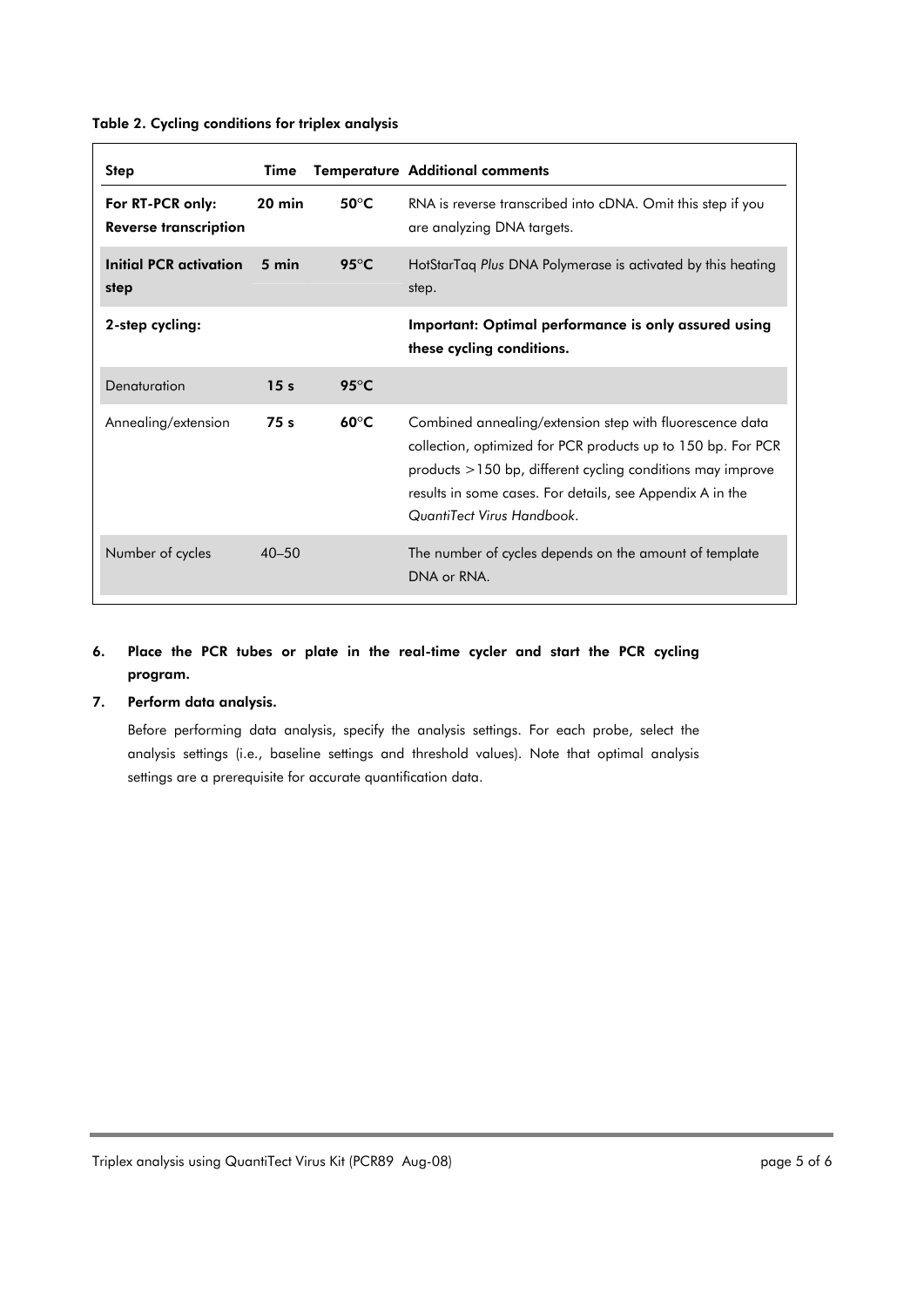| Step                                             | Time             |                         | <b>Temperature Additional comments</b>                                                                                                                                                                                                                                                   |
|--------------------------------------------------|------------------|-------------------------|------------------------------------------------------------------------------------------------------------------------------------------------------------------------------------------------------------------------------------------------------------------------------------------|
| For RT-PCR only:<br><b>Reverse transcription</b> | $20 \text{ min}$ | 50 $\mathrm{^{\circ}C}$ | RNA is reverse transcribed into cDNA. Omit this step if you<br>are analyzing DNA targets.                                                                                                                                                                                                |
| <b>Initial PCR activation</b><br>step            | $5 \text{ min}$  | $95^{\circ}$ C          | HotStarTaq Plus DNA Polymerase is activated by this heating<br>step.                                                                                                                                                                                                                     |
| 2-step cycling:                                  |                  |                         | Important: Optimal performance is only assured using<br>these cycling conditions.                                                                                                                                                                                                        |
| Denaturation                                     | 15 <sub>s</sub>  | 95 $\mathrm{^{\circ}C}$ |                                                                                                                                                                                                                                                                                          |
| Annealing/extension                              | 75s              | $60^{\circ}C$           | Combined annealing/extension step with fluorescence data<br>collection, optimized for PCR products up to 150 bp. For PCR<br>$p$ products $>$ 150 bp, different cycling conditions may improve<br>results in some cases. For details, see Appendix A in the<br>QuantiTect Virus Handbook. |
| Number of cycles                                 | $40 - 50$        |                         | The number of cycles depends on the amount of template<br>DNA or RNA.                                                                                                                                                                                                                    |

#### Table 2. Cycling conditions for triplex analysis

### 6. Place the PCR tubes or plate in the real-time cycler and start the PCR cycling program.

### 7. Perform data analysis.

Before performing data analysis, specify the analysis settings. For each probe, select the analysis settings (i.e., baseline settings and threshold values). Note that optimal analysis settings are a prerequisite for accurate quantification data.